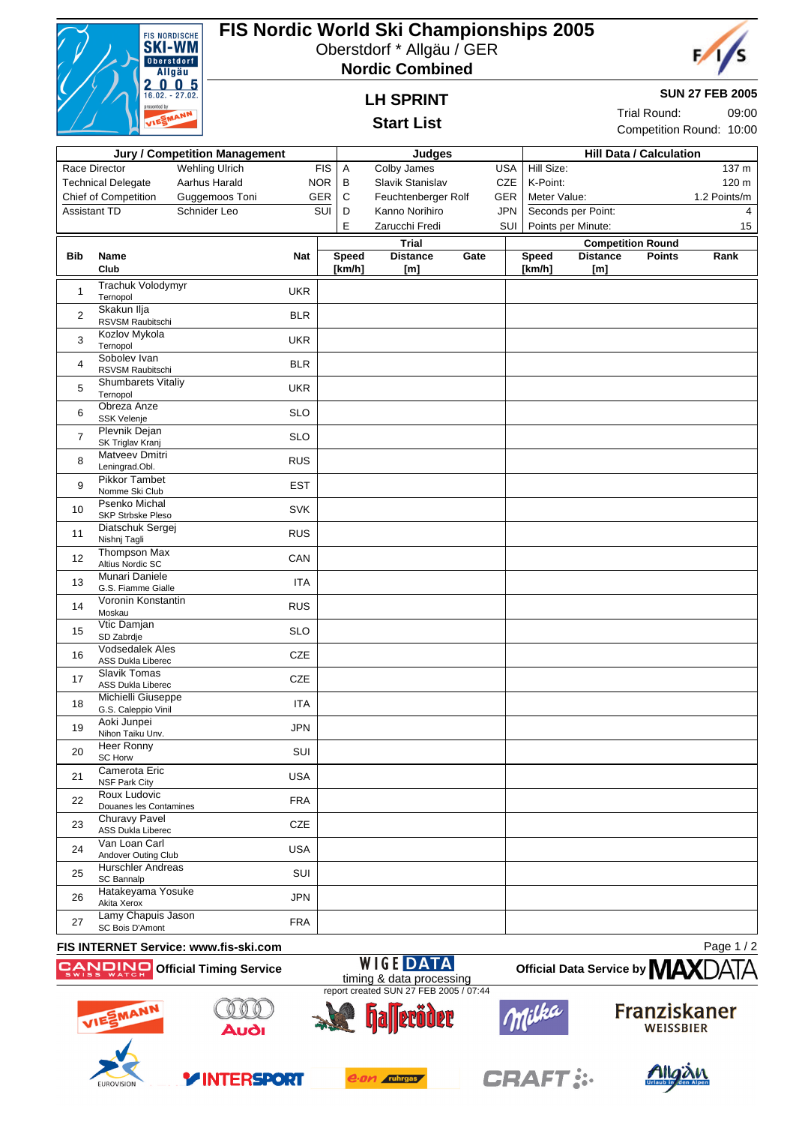

# **FIS Nordic World Ski Championships 2005**

Oberstdorf \* Allgäu / GER





**SUN 27 FEB 2005**

Trial Round: 09:00 Competition Round: 10:00

## **LH SPRINT**

### **Start List**

|                | <b>Jury / Competition Management</b>               |                       |            |                 | <b>Judges</b>       |      |            |                    | <b>Hill Data / Calculation</b>   |              |  |
|----------------|----------------------------------------------------|-----------------------|------------|-----------------|---------------------|------|------------|--------------------|----------------------------------|--------------|--|
|                | Race Director                                      | <b>Wehling Ulrich</b> |            | <b>FIS</b><br>A | Colby James         |      | <b>USA</b> | Hill Size:         |                                  | 137 m        |  |
|                | <b>Technical Delegate</b>                          | Aarhus Harald         | <b>NOR</b> | B               | Slavik Stanislav    |      | CZE        | K-Point:           |                                  | 120 m        |  |
|                | Chief of Competition                               | Guggemoos Toni        | <b>GER</b> | $\mathbf C$     | Feuchtenberger Rolf |      | GER        | Meter Value:       |                                  | 1.2 Points/m |  |
| Assistant TD   |                                                    | Schnider Leo          |            | SUI<br>D        | Kanno Norihiro      |      | <b>JPN</b> | Seconds per Point: |                                  | 4            |  |
|                |                                                    |                       |            | E               | Zarucchi Fredi      |      | SUI        | Points per Minute: |                                  | 15           |  |
|                |                                                    |                       |            |                 | <b>Trial</b>        |      |            |                    | <b>Competition Round</b>         |              |  |
| Bib            | Name                                               |                       | <b>Nat</b> | <b>Speed</b>    | <b>Distance</b>     | Gate |            | <b>Speed</b>       | <b>Distance</b><br><b>Points</b> | Rank         |  |
|                | Club                                               |                       |            | [km/h]          | [m]                 |      |            | [km/h]             | [m]                              |              |  |
| $\mathbf{1}$   | Trachuk Volodymyr<br>Ternopol                      |                       | <b>UKR</b> |                 |                     |      |            |                    |                                  |              |  |
| $\overline{c}$ | Skakun Ilja<br>RSVSM Raubitschi                    |                       | <b>BLR</b> |                 |                     |      |            |                    |                                  |              |  |
| 3              | Kozlov Mykola<br>Ternopol                          |                       | <b>UKR</b> |                 |                     |      |            |                    |                                  |              |  |
| 4              | Sobolev Ivan<br>RSVSM Raubitschi                   |                       | <b>BLR</b> |                 |                     |      |            |                    |                                  |              |  |
| 5              | <b>Shumbarets Vitaliy</b><br>Ternopol              |                       | <b>UKR</b> |                 |                     |      |            |                    |                                  |              |  |
| 6              | Obreza Anze<br>SSK Velenje                         |                       | <b>SLO</b> |                 |                     |      |            |                    |                                  |              |  |
| $\overline{7}$ | Plevnik Dejan<br>SK Triglav Kranj                  |                       | <b>SLO</b> |                 |                     |      |            |                    |                                  |              |  |
| 8              | <b>Matveev Dmitri</b><br>Leningrad.Obl.            |                       | <b>RUS</b> |                 |                     |      |            |                    |                                  |              |  |
| 9              | <b>Pikkor Tambet</b><br>Nomme Ski Club             |                       | <b>EST</b> |                 |                     |      |            |                    |                                  |              |  |
| 10             | <b>Psenko Michal</b><br>SKP Strbske Pleso          |                       | SVK        |                 |                     |      |            |                    |                                  |              |  |
| 11             | Diatschuk Sergej<br>Nishnj Tagli                   |                       | <b>RUS</b> |                 |                     |      |            |                    |                                  |              |  |
| 12             | Thompson Max<br>Altius Nordic SC                   |                       | CAN        |                 |                     |      |            |                    |                                  |              |  |
| 13             | Munari Daniele<br>G.S. Fiamme Gialle               |                       | <b>ITA</b> |                 |                     |      |            |                    |                                  |              |  |
| 14             | Voronin Konstantin<br>Moskau                       |                       | <b>RUS</b> |                 |                     |      |            |                    |                                  |              |  |
| 15             | Vtic Damjan<br>SD Zabrdje                          |                       | <b>SLO</b> |                 |                     |      |            |                    |                                  |              |  |
| 16             | <b>Vodsedalek Ales</b><br><b>ASS Dukla Liberec</b> |                       | <b>CZE</b> |                 |                     |      |            |                    |                                  |              |  |
| 17             | <b>Slavik Tomas</b><br><b>ASS Dukla Liberec</b>    |                       | <b>CZE</b> |                 |                     |      |            |                    |                                  |              |  |
| 18             | Michielli Giuseppe<br>G.S. Caleppio Vinil          |                       | <b>ITA</b> |                 |                     |      |            |                    |                                  |              |  |
| 19             | Aoki Junpei<br>Nihon Taiku Unv.                    |                       | <b>JPN</b> |                 |                     |      |            |                    |                                  |              |  |
| 20             | <b>Heer Ronny</b><br>SC Horw                       |                       | SUI        |                 |                     |      |            |                    |                                  |              |  |
| 21             | Camerota Eric<br><b>NSF Park City</b>              |                       | <b>USA</b> |                 |                     |      |            |                    |                                  |              |  |
| 22             | Roux Ludovic<br>Douanes les Contamines             |                       | <b>FRA</b> |                 |                     |      |            |                    |                                  |              |  |
| 23             | <b>Churavy Pavel</b><br>ASS Dukla Liberec          |                       | CZE        |                 |                     |      |            |                    |                                  |              |  |
| 24             | Van Loan Carl<br>Andover Outing Club               |                       | <b>USA</b> |                 |                     |      |            |                    |                                  |              |  |
| 25             | <b>Hurschler Andreas</b><br>SC Bannalp             |                       | SUI        |                 |                     |      |            |                    |                                  |              |  |
| 26             | Hatakeyama Yosuke<br>Akita Xerox                   |                       | <b>JPN</b> |                 |                     |      |            |                    |                                  |              |  |
| 27             | Lamy Chapuis Jason<br>SC Bois D'Amont              |                       | <b>FRA</b> |                 |                     |      |            |                    |                                  |              |  |

#### **FIS INTERNET Service: www.fis-ski.com**

Page 1 / 2









**Official Data Service by MAX** 





 $\circ$   $\circ$ 

**YINTERSPORT**